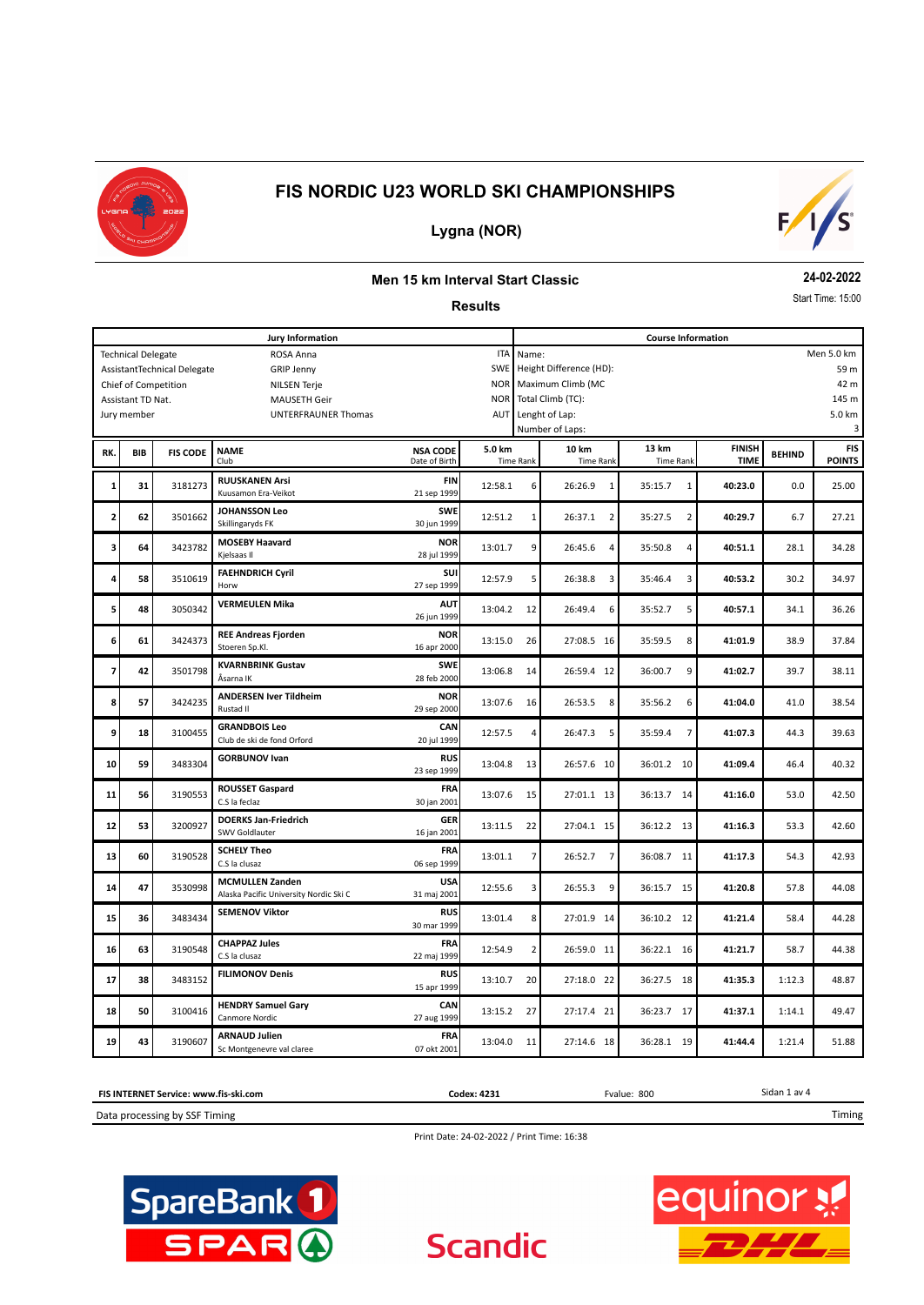



### **Lygna (NOR)**

#### **Men 15 km Interval Start Classic**

#### **Results**

**24-02-2022**

Start Time: 15:00

| <b>Jury Information</b>                                 |                   |                 |                                                                  |                                  | <b>Course Information</b> |                                 |                           |                           |                              |               |                             |
|---------------------------------------------------------|-------------------|-----------------|------------------------------------------------------------------|----------------------------------|---------------------------|---------------------------------|---------------------------|---------------------------|------------------------------|---------------|-----------------------------|
| <b>ITA</b><br><b>Technical Delegate</b><br>ROSA Anna    |                   |                 |                                                                  |                                  | Men 5.0 km<br>Name:       |                                 |                           |                           |                              |               |                             |
| SWE<br>AssistantTechnical Delegate<br><b>GRIP Jenny</b> |                   |                 |                                                                  |                                  |                           | Height Difference (HD):<br>59 m |                           |                           |                              |               |                             |
| Chief of Competition<br><b>NILSEN Terje</b>             |                   |                 |                                                                  |                                  | <b>NOR</b>                | 42 m<br>Maximum Climb (MC       |                           |                           |                              |               |                             |
|                                                         | Assistant TD Nat. |                 | <b>MAUSETH Geir</b>                                              |                                  | <b>NOR</b>                |                                 | Total Climb (TC):         |                           |                              |               | 145 m                       |
|                                                         | Jury member       |                 | UNTERFRAUNER Thomas                                              |                                  | AUT                       |                                 | Lenght of Lap:            |                           |                              |               | 5.0 km                      |
|                                                         |                   |                 |                                                                  |                                  |                           |                                 | Number of Laps:           |                           |                              |               | 3                           |
| RK.                                                     | BIB               | <b>FIS CODE</b> | <b>NAME</b><br>Club                                              | <b>NSA CODE</b><br>Date of Birth | 5.0 km                    | <b>Time Rank</b>                | 10 km<br><b>Time Rank</b> | 13 km<br><b>Time Rank</b> | <b>FINISH</b><br><b>TIME</b> | <b>BEHIND</b> | <b>FIS</b><br><b>POINTS</b> |
| 1                                                       | 31                | 3181273         | <b>RUUSKANEN Arsi</b><br>Kuusamon Era-Veikot                     | <b>FIN</b><br>21 sep 1999        | 12:58.1                   | 6                               | 26:26.9<br>$\mathbf{1}$   | 35:15.7<br>$\mathbf{1}$   | 40:23.0                      | 0.0           | 25.00                       |
| 2                                                       | 62                | 3501662         | <b>JOHANSSON Leo</b><br>Skillingaryds FK                         | <b>SWE</b><br>30 jun 1999        | 12:51.2                   | 1                               | 26:37.1<br>$\overline{2}$ | 35:27.5<br>$\overline{2}$ | 40:29.7                      | 6.7           | 27.21                       |
| з                                                       | 64                | 3423782         | <b>MOSEBY Haavard</b><br>Kjelsaas II                             | <b>NOR</b><br>28 jul 1999        | 13:01.7                   | 9                               | 26:45.6<br>$\overline{4}$ | 35:50.8<br>$\overline{4}$ | 40:51.1                      | 28.1          | 34.28                       |
| 4                                                       | 58                | 3510619         | <b>FAEHNDRICH Cyril</b><br>Horw                                  | SUI<br>27 sep 1999               | 12:57.9                   | 5                               | 26:38.8<br>3              | 35:46.4<br>$\overline{3}$ | 40:53.2                      | 30.2          | 34.97                       |
| 5                                                       | 48                | 3050342         | <b>VERMEULEN Mika</b>                                            | <b>AUT</b><br>26 jun 1999        | 13:04.2                   | 12                              | 26:49.4<br>6              | 5<br>35:52.7              | 40:57.1                      | 34.1          | 36.26                       |
| 6                                                       | 61                | 3424373         | <b>REE Andreas Fjorden</b><br>Stoeren Sp.Kl.                     | <b>NOR</b><br>16 apr 2000        | 13:15.0                   | 26                              | 27:08.5 16                | 35:59.5<br>8              | 41:01.9                      | 38.9          | 37.84                       |
| 7                                                       | 42                | 3501798         | <b>KVARNBRINK Gustav</b><br>Åsarna IK                            | <b>SWE</b><br>28 feb 2000        | 13:06.8                   | 14                              | 26:59.4 12                | 36:00.7<br>9              | 41:02.7                      | 39.7          | 38.11                       |
| 8                                                       | 57                | 3424235         | <b>ANDERSEN Iver Tildheim</b><br>Rustad II                       | <b>NOR</b><br>29 sep 2000        | 13:07.6                   | 16                              | 26:53.5<br>8              | 35:56.2<br>6              | 41:04.0                      | 41.0          | 38.54                       |
| 9                                                       | 18                | 3100455         | <b>GRANDBOIS Leo</b><br>Club de ski de fond Orford               | <b>CAN</b><br>20 jul 1999        | 12:57.5                   | 4                               | 26:47.3<br>5              | 35:59.4<br>7              | 41:07.3                      | 44.3          | 39.63                       |
| 10                                                      | 59                | 3483304         | <b>GORBUNOV Ivan</b>                                             | <b>RUS</b><br>23 sep 1999        | 13:04.8                   | 13                              | 26:57.6 10                | 36:01.2<br>10             | 41:09.4                      | 46.4          | 40.32                       |
| 11                                                      | 56                | 3190553         | <b>ROUSSET Gaspard</b><br>C.S la feclaz                          | FRA<br>30 jan 2001               | 13:07.6                   | 15                              | 27:01.1 13                | 36:13.7<br>- 14           | 41:16.0                      | 53.0          | 42.50                       |
| 12                                                      | 53                | 3200927         | <b>DOERKS Jan-Friedrich</b><br>SWV Goldlauter                    | <b>GER</b><br>16 jan 2001        | 13:11.5                   | 22                              | 27:04.1 15                | 36:12.2 13                | 41:16.3                      | 53.3          | 42.60                       |
| 13                                                      | 60                | 3190528         | <b>SCHELY Theo</b><br>C.S la clusaz                              | <b>FRA</b><br>06 sep 1999        | 13:01.1                   | 7                               | $\overline{7}$<br>26:52.7 | 36:08.7<br>11             | 41:17.3                      | 54.3          | 42.93                       |
| 14                                                      | 47                | 3530998         | <b>MCMULLEN Zanden</b><br>Alaska Pacific University Nordic Ski C | <b>USA</b><br>31 maj 2001        | 12:55.6                   | 3                               | 26:55.3<br>9              | 36:15.7<br>- 15           | 41:20.8                      | 57.8          | 44.08                       |
| 15                                                      | 36                | 3483434         | <b>SEMENOV Viktor</b>                                            | <b>RUS</b><br>30 mar 1999        | 13:01.4                   | 8                               | 27:01.9 14                | 36:10.2<br>12             | 41:21.4                      | 58.4          | 44.28                       |
| 16                                                      | 63                | 3190548         | <b>CHAPPAZ Jules</b><br>C.S la clusaz                            | <b>FRA</b><br>22 maj 1999        | 12:54.9                   | $\overline{2}$                  | 26:59.0 11                | 36:22.1 16                | 41:21.7                      | 58.7          | 44.38                       |
| 17                                                      | 38                | 3483152         | <b>FILIMONOV Denis</b>                                           | <b>RUS</b><br>15 apr 1999        | 13:10.7                   | 20                              | 27:18.0 22                | 36:27.5<br>18             | 41:35.3                      | 1:12.3        | 48.87                       |
| 18                                                      | 50                | 3100416         | <b>HENDRY Samuel Gary</b><br>Canmore Nordic                      | CAN<br>27 aug 1999               | 13:15.2                   | 27                              | 27:17.4 21                | 36:23.7<br>17             | 41:37.1                      | 1:14.1        | 49.47                       |
| 19                                                      | 43                | 3190607         | <b>ARNAUD Julien</b><br>Sc Montgenevre val claree                | <b>FRA</b><br>07 okt 2001        | 13:04.0                   | 11                              | 27:14.6 18                | 36:28.1 19                | 41:44.4                      | 1:21.4        | 51.88                       |

Sidan 1 av 4 Data processing by SSF Timing **FIS INTERNET Service: www.fis-ski.com** Timing **Codex: 4231** Fvalue: 800

Print Date: 24-02-2022 / Print Time: 16:38

**Scandic** 



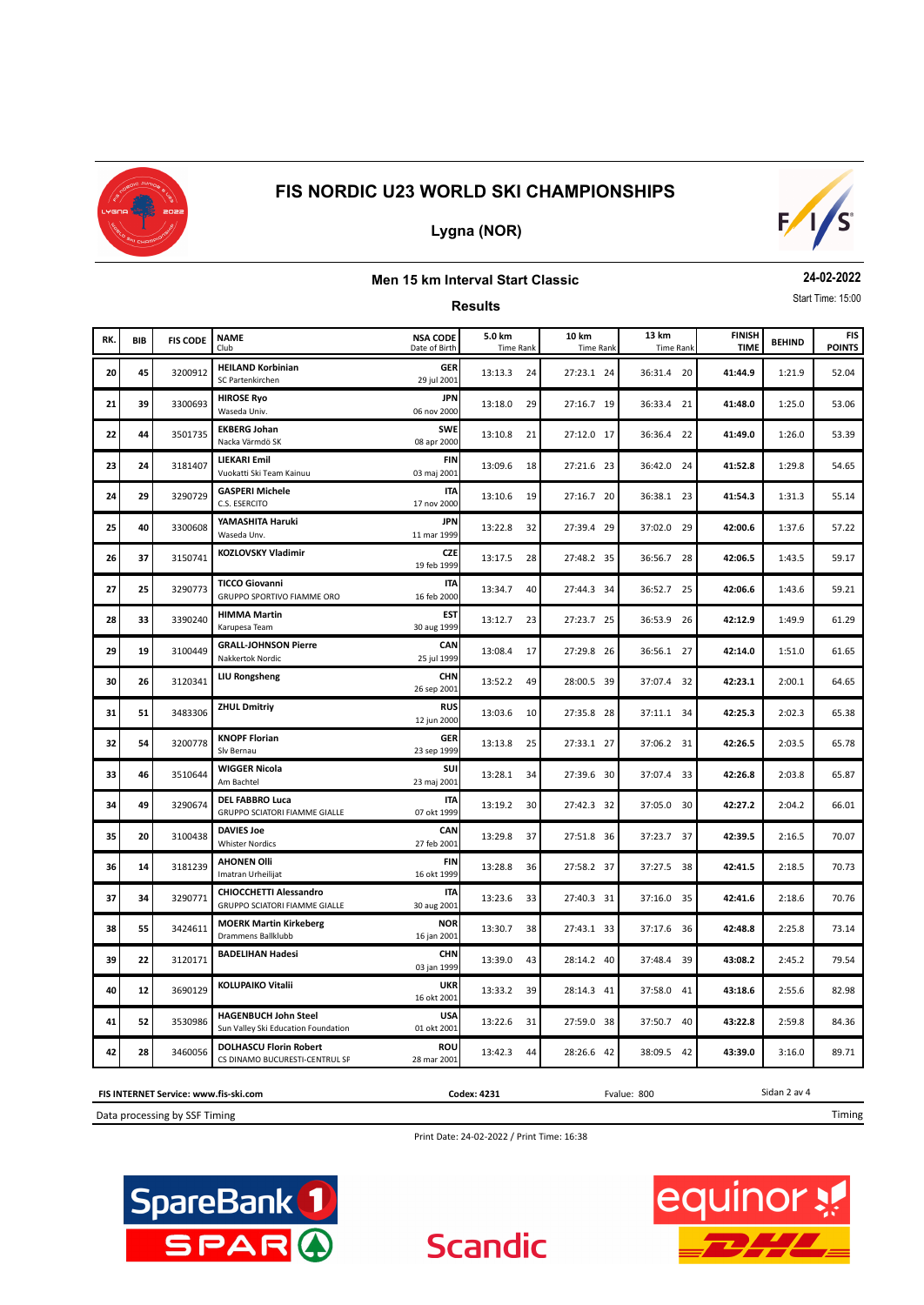

# **Lygna (NOR)**



#### **Men 15 km Interval Start Classic**

**Results**

**24-02-2022** Start Time: 15:00

| RK. | <b>BIB</b> | <b>FIS CODE</b> | <b>NAME</b><br>Club                                                   | <b>NSA CODE</b><br>Date of Birth | 5.0 km<br><b>Time Rank</b> | 10 km<br><b>Time Rank</b> | 13 km<br><b>Time Rank</b> | <b>FINISH</b><br><b>TIME</b> | <b>BEHIND</b> | <b>FIS</b><br><b>POINTS</b> |
|-----|------------|-----------------|-----------------------------------------------------------------------|----------------------------------|----------------------------|---------------------------|---------------------------|------------------------------|---------------|-----------------------------|
| 20  | 45         | 3200912         | <b>HEILAND Korbinian</b><br>SC Partenkirchen                          | <b>GER</b><br>29 jul 2001        | 13:13.3<br>24              | 27:23.1 24                | 36:31.4 20                | 41:44.9                      | 1:21.9        | 52.04                       |
| 21  | 39         | 3300693         | <b>HIROSE Ryo</b><br>Waseda Univ.                                     | <b>JPN</b><br>06 nov 2000        | 13:18.0<br>29              | 27:16.7 19                | 36:33.4<br>21             | 41:48.0                      | 1:25.0        | 53.06                       |
| 22  | 44         | 3501735         | <b>EKBERG Johan</b><br>Nacka Värmdö SK                                | <b>SWE</b><br>08 apr 2000        | 13:10.8<br>21              | 27:12.0 17                | 36:36.4<br>22             | 41:49.0                      | 1:26.0        | 53.39                       |
| 23  | 24         | 3181407         | LIEKARI Emil<br>Vuokatti Ski Team Kainuu                              | <b>FIN</b><br>03 maj 2001        | 13:09.6<br>18              | 27:21.6 23                | 36:42.0 24                | 41:52.8                      | 1:29.8        | 54.65                       |
| 24  | 29         | 3290729         | <b>GASPERI Michele</b><br>C.S. ESERCITO                               | <b>ITA</b><br>17 nov 2000        | 13:10.6<br>19              | 27:16.7 20                | 36:38.1 23                | 41:54.3                      | 1:31.3        | 55.14                       |
| 25  | 40         | 3300608         | YAMASHITA Haruki<br>Waseda Unv.                                       | <b>JPN</b><br>11 mar 1999        | 13:22.8<br>32              | 27:39.4 29                | 37:02.0 29                | 42:00.6                      | 1:37.6        | 57.22                       |
| 26  | 37         | 3150741         | KOZLOVSKY Vladimir                                                    | CZE<br>19 feb 1999               | 13:17.5<br>28              | 27:48.2 35                | 36:56.7<br>28             | 42:06.5                      | 1:43.5        | 59.17                       |
| 27  | 25         | 3290773         | <b>TICCO Giovanni</b><br>GRUPPO SPORTIVO FIAMME ORO                   | <b>ITA</b><br>16 feb 2000        | 13:34.7<br>40              | 27:44.3 34                | 36:52.7 25                | 42:06.6                      | 1:43.6        | 59.21                       |
| 28  | 33         | 3390240         | <b>HIMMA Martin</b><br>Karupesa Team                                  | EST<br>30 aug 1999               | 13:12.7<br>23              | 27:23.7 25                | 36:53.9 26                | 42:12.9                      | 1:49.9        | 61.29                       |
| 29  | 19         | 3100449         | <b>GRALL-JOHNSON Pierre</b><br>Nakkertok Nordic                       | CAN<br>25 jul 1999               | 13:08.4<br>17              | 27:29.8 26                | 36:56.1 27                | 42:14.0                      | 1:51.0        | 61.65                       |
| 30  | 26         | 3120341         | <b>LIU Rongsheng</b>                                                  | <b>CHN</b><br>26 sep 2001        | 13:52.2<br>49              | 28:00.5 39                | 37:07.4 32                | 42:23.1                      | 2:00.1        | 64.65                       |
| 31  | 51         | 3483306         | <b>ZHUL Dmitriy</b>                                                   | <b>RUS</b><br>12 jun 2000        | 13:03.6<br>10              | 27:35.8 28                | 37:11.1 34                | 42:25.3                      | 2:02.3        | 65.38                       |
| 32  | 54         | 3200778         | <b>KNOPF Florian</b><br>Slv Bernau                                    | <b>GER</b><br>23 sep 1999        | 13:13.8<br>25              | 27:33.1 27                | 37:06.2 31                | 42:26.5                      | 2:03.5        | 65.78                       |
| 33  | 46         | 3510644         | <b>WIGGER Nicola</b><br>Am Bachtel                                    | SUI<br>23 maj 2001               | 13:28.1<br>34              | 27:39.6 30                | 37:07.4 33                | 42:26.8                      | 2:03.8        | 65.87                       |
| 34  | 49         | 3290674         | <b>DEL FABBRO Luca</b><br><b>GRUPPO SCIATORI FIAMME GIALLE</b>        | <b>ITA</b><br>07 okt 1999        | 13:19.2<br>30              | 27:42.3 32                | 37:05.0<br>30             | 42:27.2                      | 2:04.2        | 66.01                       |
| 35  | 20         | 3100438         | <b>DAVIES Joe</b><br><b>Whister Nordics</b>                           | CAN<br>27 feb 2001               | 13:29.8<br>37              | 27:51.8 36                | 37:23.7 37                | 42:39.5                      | 2:16.5        | 70.07                       |
| 36  | 14         | 3181239         | <b>AHONEN Olli</b><br>Imatran Urheilijat                              | FIN<br>16 okt 1999               | 13:28.8<br>36              | 27:58.2 37                | 37:27.5 38                | 42:41.5                      | 2:18.5        | 70.73                       |
| 37  | 34         | 3290771         | <b>CHIOCCHETTI Alessandro</b><br><b>GRUPPO SCIATORI FIAMME GIALLE</b> | <b>ITA</b><br>30 aug 2001        | 13:23.6<br>33              | 27:40.3 31                | 37:16.0 35                | 42:41.6                      | 2:18.6        | 70.76                       |
| 38  | 55         | 3424611         | <b>MOERK Martin Kirkeberg</b><br>Drammens Ballklubb                   | <b>NOR</b><br>16 jan 2001        | 13:30.7<br>38              | 27:43.1 33                | 37:17.6 36                | 42:48.8                      | 2:25.8        | 73.14                       |
| 39  | 22         | 3120171         | <b>BADELIHAN Hadesi</b>                                               | <b>CHN</b><br>03 jan 1999        | 13:39.0<br>43              | 28:14.2 40                | 37:48.4<br>39             | 43:08.2                      | 2:45.2        | 79.54                       |
| 40  | 12         | 3690129         | KOLUPAIKO Vitalii                                                     | <b>UKR</b><br>16 okt 2001        | 13:33.2<br>39              | 28:14.3 41                | 37:58.0<br>41             | 43:18.6                      | 2:55.6        | 82.98                       |
| 41  | 52         | 3530986         | <b>HAGENBUCH John Steel</b><br>Sun Valley Ski Education Foundation    | <b>USA</b><br>01 okt 2001        | 13:22.6<br>31              | 27:59.0 38                | 37:50.7 40                | 43:22.8                      | 2:59.8        | 84.36                       |
| 42  | 28         | 3460056         | <b>DOLHASCU Florin Robert</b><br>CS DINAMO BUCURESTI-CENTRUL SF       | <b>ROU</b><br>28 mar 2001        | 44<br>13:42.3              | 28:26.6 42                | 38:09.5 42                | 43:39.0                      | 3:16.0        | 89.71                       |

Data processing by SSF Timing **FIS INTERNET Service: www.fis-ski.com** **Codex: 4231** Fvalue: 800

Timing

Sidan 2 av 4

Print Date: 24-02-2022 / Print Time: 16:38

**Scandic** 



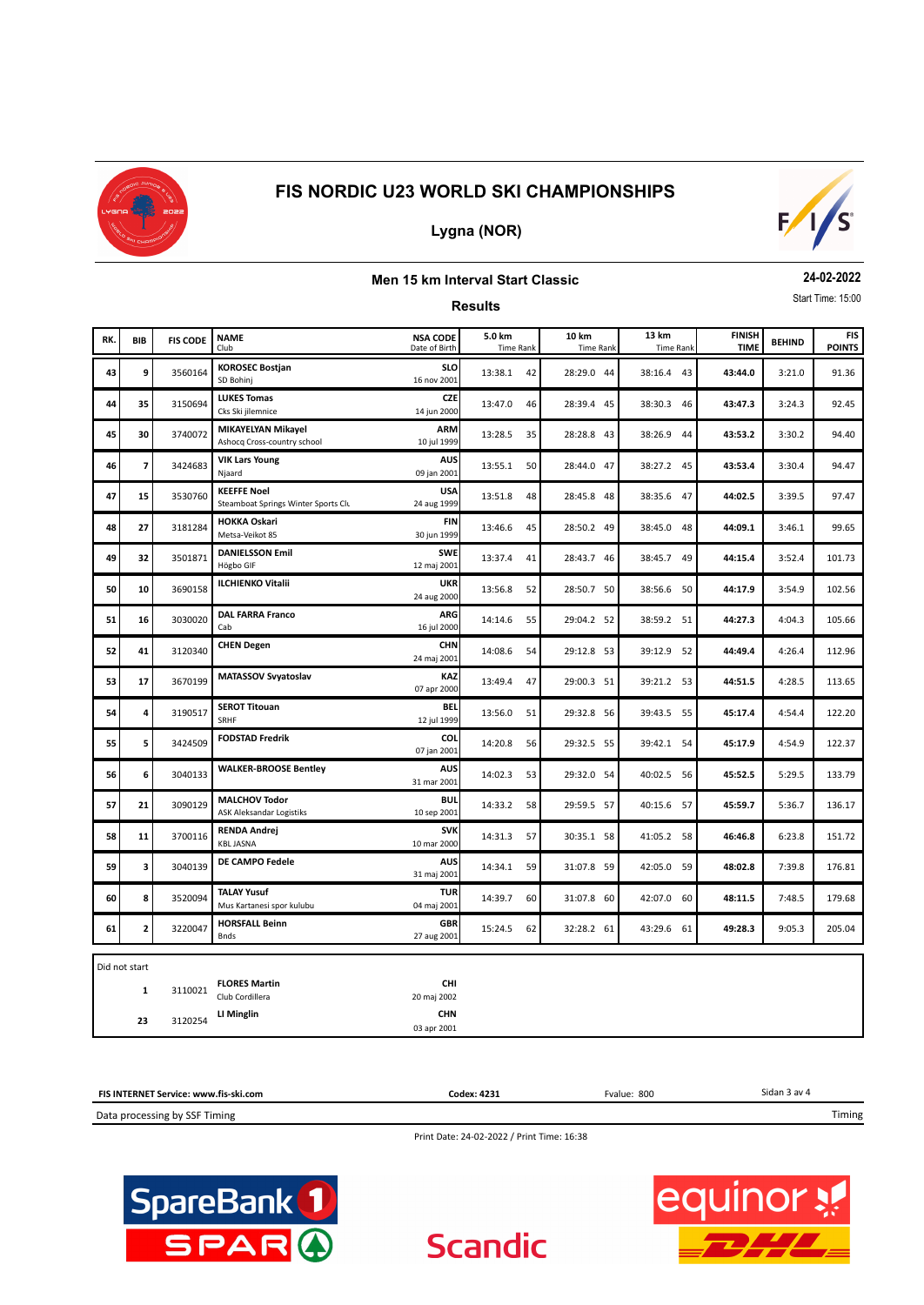

## **Lygna (NOR)**



#### **Men 15 km Interval Start Classic**

**Results**

**24-02-2022** Start Time: 15:00

| RK. | BIB            | <b>FIS CODE</b> | <b>NAME</b><br>Club                                       | <b>NSA CODE</b><br>Date of Birth | 5.0 km<br><b>Time Rank</b> | 10 km<br><b>Time Rank</b> | 13 km<br><b>Time Rank</b> | <b>FINISH</b><br><b>TIME</b> | <b>BEHIND</b> | <b>FIS</b><br><b>POINTS</b> |
|-----|----------------|-----------------|-----------------------------------------------------------|----------------------------------|----------------------------|---------------------------|---------------------------|------------------------------|---------------|-----------------------------|
| 43  | 9              | 3560164         | <b>KOROSEC Bostjan</b><br>SD Bohinj                       | <b>SLO</b><br>16 nov 2001        | 13:38.1<br>42              | 28:29.0 44                | 38:16.4 43                | 43:44.0                      | 3:21.0        | 91.36                       |
| 44  | 35             | 3150694         | <b>LUKES Tomas</b><br>Cks Ski jilemnice                   | <b>CZE</b><br>14 jun 2000        | 13:47.0<br>46              | 28:39.4 45                | 38:30.3 46                | 43:47.3                      | 3:24.3        | 92.45                       |
| 45  | 30             | 3740072         | <b>MIKAYELYAN Mikayel</b><br>Ashocq Cross-country school  | <b>ARM</b><br>10 jul 1999        | 13:28.5<br>35              | 28:28.8 43                | 38:26.9 44                | 43:53.2                      | 3:30.2        | 94.40                       |
| 46  | $\overline{7}$ | 3424683         | <b>VIK Lars Young</b><br>Njaard                           | <b>AUS</b><br>09 jan 2001        | 13:55.1<br>50              | 28:44.0 47                | 38:27.2 45                | 43:53.4                      | 3:30.4        | 94.47                       |
| 47  | 15             | 3530760         | <b>KEEFFE Noel</b><br>Steamboat Springs Winter Sports Clu | <b>USA</b><br>24 aug 1999        | 13:51.8<br>48              | 28:45.8 48                | 38:35.6 47                | 44:02.5                      | 3:39.5        | 97.47                       |
| 48  | 27             | 3181284         | <b>HOKKA Oskari</b><br>Metsa-Veikot 85                    | <b>FIN</b><br>30 jun 1999        | 13:46.6<br>45              | 28:50.2 49                | 38:45.0 48                | 44:09.1                      | 3:46.1        | 99.65                       |
| 49  | 32             | 3501871         | <b>DANIELSSON Emil</b><br>Högbo GIF                       | <b>SWE</b><br>12 maj 2001        | 13:37.4<br>41              | 28:43.7 46                | 38:45.7 49                | 44:15.4                      | 3:52.4        | 101.73                      |
| 50  | 10             | 3690158         | <b>ILCHIENKO Vitalii</b>                                  | <b>UKR</b><br>24 aug 2000        | 13:56.8<br>52              | 28:50.7 50                | 38:56.6 50                | 44:17.9                      | 3:54.9        | 102.56                      |
| 51  | 16             | 3030020         | <b>DAL FARRA Franco</b><br>Cab                            | ARG<br>16 jul 2000               | 14:14.6<br>55              | 29:04.2 52                | 38:59.2 51                | 44:27.3                      | 4:04.3        | 105.66                      |
| 52  | 41             | 3120340         | <b>CHEN Degen</b>                                         | <b>CHN</b><br>24 maj 2001        | 14:08.6<br>54              | 29:12.8 53                | 39:12.9 52                | 44:49.4                      | 4:26.4        | 112.96                      |
| 53  | 17             | 3670199         | <b>MATASSOV Svyatoslav</b>                                | <b>KAZ</b><br>07 apr 2000        | 13:49.4<br>47              | 29:00.3 51                | 39:21.2 53                | 44:51.5                      | 4:28.5        | 113.65                      |
| 54  | 4              | 3190517         | <b>SEROT Titouan</b><br>SRHF                              | BEL<br>12 jul 1999               | 13:56.0<br>51              | 29:32.8 56                | 39:43.5 55                | 45:17.4                      | 4:54.4        | 122.20                      |
| 55  | 5              | 3424509         | <b>FODSTAD Fredrik</b>                                    | <b>COL</b><br>07 jan 2001        | 14:20.8<br>56              | 29:32.5 55                | 39:42.1 54                | 45:17.9                      | 4:54.9        | 122.37                      |
| 56  | 6              | 3040133         | <b>WALKER-BROOSE Bentley</b>                              | <b>AUS</b><br>31 mar 2001        | 14:02.3<br>53              | 29:32.0 54                | 40:02.5 56                | 45:52.5                      | 5:29.5        | 133.79                      |
| 57  | 21             | 3090129         | <b>MALCHOV Todor</b><br><b>ASK Aleksandar Logistiks</b>   | <b>BUL</b><br>10 sep 2001        | 14:33.2<br>58              | 29:59.5 57                | 40:15.6 57                | 45:59.7                      | 5:36.7        | 136.17                      |
| 58  | 11             | 3700116         | <b>RENDA Andrej</b><br><b>KBL JASNA</b>                   | <b>SVK</b><br>10 mar 2000        | 14:31.3<br>57              | 30:35.1 58                | 41:05.2 58                | 46:46.8                      | 6:23.8        | 151.72                      |
| 59  | 3              | 3040139         | DE CAMPO Fedele                                           | <b>AUS</b><br>31 maj 2001        | 14:34.1<br>59              | 31:07.8 59                | 42:05.0<br>59             | 48:02.8                      | 7:39.8        | 176.81                      |
| 60  | 8              | 3520094         | <b>TALAY Yusuf</b><br>Mus Kartanesi spor kulubu           | <b>TUR</b><br>04 maj 2001        | 14:39.7<br>60              | 31:07.8 60                | 42:07.0 60                | 48:11.5                      | 7:48.5        | 179.68                      |
| 61  | $\mathbf{z}$   | 3220047         | <b>HORSFALL Beinn</b><br><b>Bnds</b>                      | <b>GBR</b><br>27 aug 2001        | 15:24.5<br>62              | 32:28.2 61                | 43:29.6 61                | 49:28.3                      | 9:05.3        | 205.04                      |
|     | Did not start  |                 |                                                           |                                  |                            |                           |                           |                              |               |                             |
|     | 1              | 3110021         | <b>FLORES Martin</b><br>Club Cordillera                   | <b>CHI</b><br>20 maj 2002        |                            |                           |                           |                              |               |                             |
|     | 23             | 3120254         | LI Minglin                                                | <b>CHN</b>                       |                            |                           |                           |                              |               |                             |

| FIS INTERNET Service: www.fis-ski.com | Codex: 4231 | Fvalue: 800 | Sidan 3 av 4 |
|---------------------------------------|-------------|-------------|--------------|
| Data processing by SSF Timing         |             |             | Timing       |

03 apr 2001

Print Date: 24-02-2022 / Print Time: 16:38

**Scandic** 



**equinor**